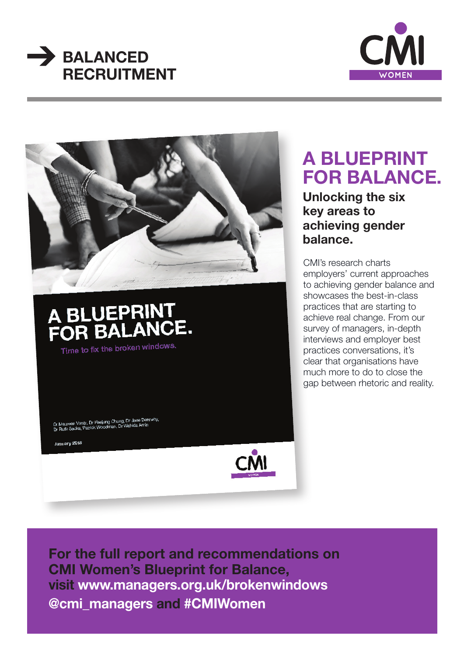





Dr Maureen Vontz, Dr Heejung Chung, Dr Jane Den<br>Dr Ruth Sacks, Patrick Woodman, Dr Wahida Amin

January 2018



# **A BLUEPRINT FOR BALANCE.**

**Unlocking the six key areas to achieving gender balance.**

CMI's research charts employers' current approaches to achieving gender balance and showcases the best-in-class practices that are starting to achieve real change. From our survey of managers, in-depth interviews and employer best practices conversations, it's clear that organisations have much more to do to close the gap between rhetoric and reality.

**For the full report and recommendations on CMI Women's Blueprint for Balance, visit www.managers.org.uk/brokenwindows @cmi\_managers and #CMIWomen**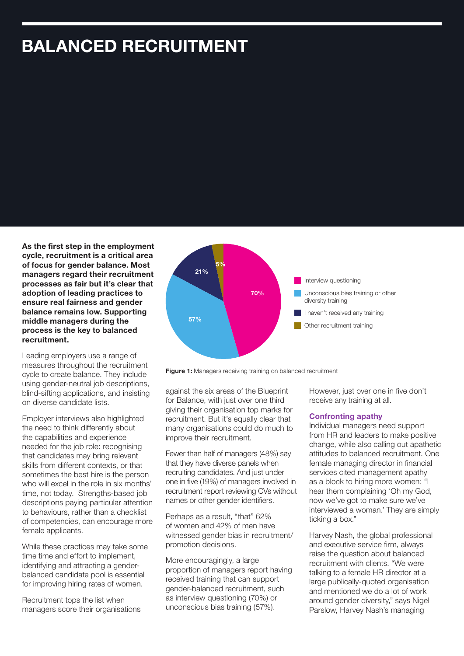## **BALANCED RECRUITMENT**

**As the first step in the employment cycle, recruitment is a critical area of focus for gender balance. Most managers regard their recruitment processes as fair but it's clear that adoption of leading practices to ensure real fairness and gender balance remains low. Supporting middle managers during the process is the key to balanced recruitment.**

Leading employers use a range of measures throughout the recruitment cycle to create balance. They include using gender-neutral job descriptions, blind-sifting applications, and insisting on diverse candidate lists.

Employer interviews also highlighted the need to think differently about the capabilities and experience needed for the job role: recognising that candidates may bring relevant skills from different contexts, or that sometimes the best hire is the person who will excel in the role in six months' time, not today. Strengths-based job descriptions paying particular attention to behaviours, rather than a checklist of competencies, can encourage more female applicants.

While these practices may take some time time and effort to implement, identifying and attracting a genderbalanced candidate pool is essential for improving hiring rates of women.

Recruitment tops the list when managers score their organisations





against the six areas of the Blueprint for Balance, with just over one third giving their organisation top marks for recruitment. But it's equally clear that many organisations could do much to improve their recruitment.

Fewer than half of managers (48%) say that they have diverse panels when recruiting candidates. And just under one in five (19%) of managers involved in recruitment report reviewing CVs without names or other gender identifiers.

Perhaps as a result, "that" 62% of women and 42% of men have witnessed gender bias in recruitment/ promotion decisions.

More encouragingly, a large proportion of managers report having received training that can support gender-balanced recruitment, such as interview questioning (70%) or unconscious bias training (57%).

However, just over one in five don't receive any training at all.

#### **Confronting apathy**

Individual managers need support from HR and leaders to make positive change, while also calling out apathetic attitudes to balanced recruitment. One female managing director in financial services cited management apathy as a block to hiring more women: "I hear them complaining 'Oh my God, now we've got to make sure we've interviewed a woman.' They are simply ticking a box."

Harvey Nash, the global professional and executive service firm, always raise the question about balanced recruitment with clients. "We were talking to a female HR director at a large publically-quoted organisation and mentioned we do a lot of work around gender diversity," says Nigel Parslow, Harvey Nash's managing